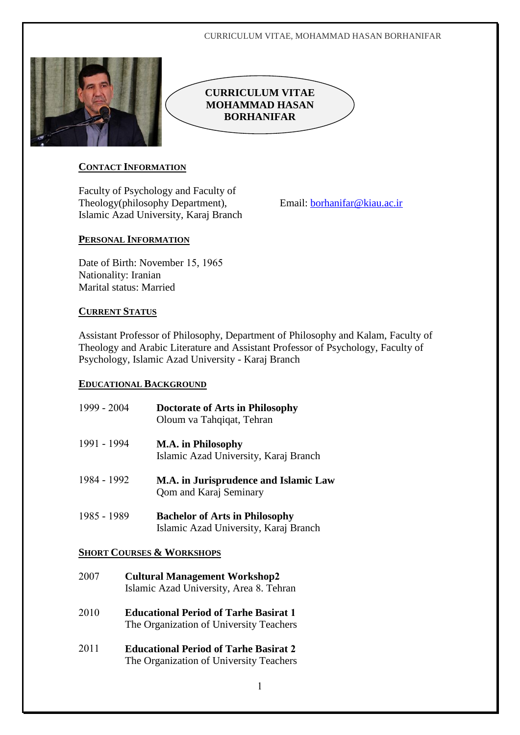#### CURRICULUM VITAE, MOHAMMAD HASAN BORHANIFAR



# **CURRICULUM VITAE MOHAMMAD HASAN BORHANIFAR**

# **CONTACT INFORMATION**

Faculty of Psychology and Faculty of Theology(philosophy Department), Islamic Azad University, Karaj Branch

Email: [borhanifar@kiau.ac.ir](mailto:borhanifar@kiau.ac.ir)

# **PERSONAL INFORMATION**

Date of Birth: November 15, 1965 Nationality: Iranian Marital status: Married

# **CURRENT STATUS**

Assistant Professor of Philosophy, Department of Philosophy and Kalam, Faculty of Theology and Arabic Literature and Assistant Professor of Psychology, Faculty of Psychology, Islamic Azad University - Karaj Branch

# **EDUCATIONAL BACKGROUND**

| 1999 - 2004 | <b>Doctorate of Arts in Philosophy</b><br>Oloum va Tahqiqat, Tehran            |
|-------------|--------------------------------------------------------------------------------|
| 1991 - 1994 | M.A. in Philosophy<br>Islamic Azad University, Karaj Branch                    |
| 1984 - 1992 | M.A. in Jurisprudence and Islamic Law<br><b>Qom and Karaj Seminary</b>         |
| 1985 - 1989 | <b>Bachelor of Arts in Philosophy</b><br>Islamic Azad University, Karaj Branch |

# **SHORT COURSES & WORKSHOPS**

- **2007** Cultural Management Workshop2 Islamic Azad University, Area 8. Tehran
- **Educational Period of Tarhe Basirat**  The Organization of University Teachers
- **Educational Period of Tarhe Basirat**  The Organization of University Teachers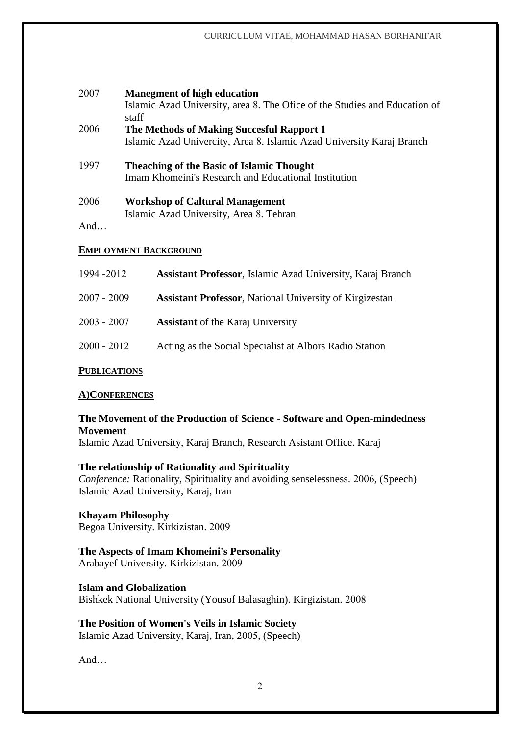| 2007 | <b>Manegment of high education</b><br>Islamic Azad University, area 8. The Ofice of the Studies and Education of<br>staff |
|------|---------------------------------------------------------------------------------------------------------------------------|
| 2006 | The Methods of Making Succesful Rapport 1                                                                                 |
|      | Islamic Azad Univercity, Area 8. Islamic Azad University Karaj Branch                                                     |
| 1997 | <b>Theaching of the Basic of Islamic Thought</b>                                                                          |
|      | Imam Khomeini's Research and Educational Institution                                                                      |
| 2006 | <b>Workshop of Caltural Management</b>                                                                                    |
|      | Islamic Azad University, Area 8. Tehran                                                                                   |
| And  |                                                                                                                           |

### **EMPLOYMENT BACKGROUND**

| 1994 - 2012   | <b>Assistant Professor</b> , Islamic Azad University, Karaj Branch |
|---------------|--------------------------------------------------------------------|
| $2007 - 2009$ | <b>Assistant Professor, National University of Kirgizestan</b>     |
| $2003 - 2007$ | <b>Assistant</b> of the Karaj University                           |
| $2000 - 2012$ | Acting as the Social Specialist at Albors Radio Station            |
|               |                                                                    |

# **PUBLICATIONS**

#### **A)CONFERENCES**

## **The Movement of the Production of Science - Software and Open-mindedness Movement** Islamic Azad University, Karaj Branch, Research Asistant Office. Karaj

**The relationship of Rationality and Spirituality** *Conference:* Rationality, Spirituality and avoiding senselessness. 2006, (Speech) Islamic Azad University, Karaj, Iran

**Khayam Philosophy** Begoa University. Kirkizistan.

### **The Aspects of Imam Khomeini's Personality** Arabayef University. Kirkizistan.

**Islam and Globalization** Bishkek National University (Yousof Balasaghin). Kirgizistan.

**The Position of Women's Veils in Islamic Society** Islamic Azad University, Karaj, Iran, 2005, (Speech)

And…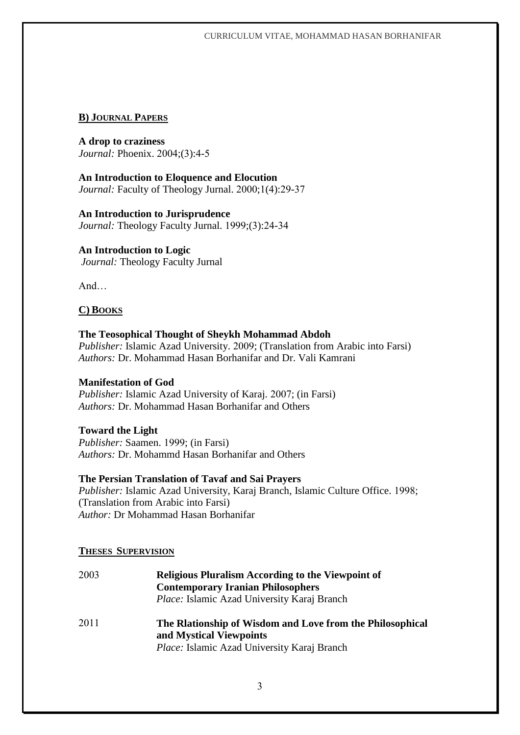#### CURRICULUM VITAE, MOHAMMAD HASAN BORHANIFAR

## **B) JOURNAL PAPERS**

**A drop to craziness** *Journal: Phoenix. 2004;(3):4-5* 

**An Introduction to Eloquence and Elocution** *Journal:* Faculty of Theology Jurnal. 2000;1(4):29-37

**An Introduction to Jurisprudence** *Journal:* Theology Faculty Jurnal. 1999;(3):24-34

## **An Introduction to Logic**

*Journal:* Theology Faculty Jurnal

And…

## **C) BOOKS**

**The Teosophical Thought of Sheykh Mohammad Abdoh** *Publisher: Islamic Azad University. 2009; (Translation from Arabic into Farsi) Authors:* Dr. Mohammad Hasan Borhanifar and Dr. Vali Kamrani

## **Manifestation of God**

*Publisher: Islamic Azad University of Karaj. 2007; (in Farsi) Authors:* Dr. Mohammad Hasan Borhanifar and Others

## **Toward the Light**

*Publisher: Saamen. 1999; (in Farsi) Authors:* Dr. Mohammd Hasan Borhanifar and Others

## **The Persian Translation of Tavaf and Sai Prayers**

*Publisher: Islamic Azad University, Karaj Branch, Islamic Culture Office. 1998;* (Translation from Arabic into Farsi) *Author:* Dr Mohammad Hasan Borhanifar

## **THESES SUPERVISION**

| 2003 | <b>Religious Pluralism According to the Viewpoint of</b><br><b>Contemporary Iranian Philosophers</b><br>Place: Islamic Azad University Karaj Branch |
|------|-----------------------------------------------------------------------------------------------------------------------------------------------------|
| 2011 | The Riationship of Wisdom and Love from the Philosophical<br>and Mystical Viewpoints<br><i>Place:</i> Islamic Azad University Karaj Branch          |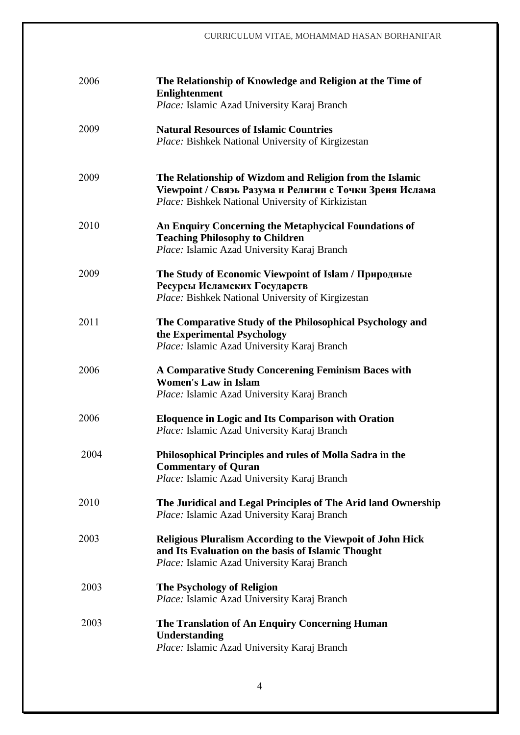### CURRICULUM VITAE, MOHAMMAD HASAN BORHANIFAR

| 2006 | The Relationship of Knowledge and Religion at the Time of<br><b>Enlightenment</b><br>Place: Islamic Azad University Karaj Branch                                         |
|------|--------------------------------------------------------------------------------------------------------------------------------------------------------------------------|
| 2009 | <b>Natural Resources of Islamic Countries</b><br><i>Place:</i> Bishkek National University of Kirgizestan                                                                |
| 2009 | The Relationship of Wizdom and Religion from the Islamic<br>Viewpoint / Свяэь Разума и Религии с Точки Зреия Ислама<br>Place: Bishkek National University of Kirkizistan |
| 2010 | An Enquiry Concerning the Metaphycical Foundations of<br><b>Teaching Philosophy to Children</b><br>Place: Islamic Azad University Karaj Branch                           |
| 2009 | The Study of Economic Viewpoint of Islam / Природные<br>Ресурсы Исламских Государств<br>Place: Bishkek National University of Kirgizestan                                |
| 2011 | The Comparative Study of the Philosophical Psychology and<br>the Experimental Psychology<br>Place: Islamic Azad University Karaj Branch                                  |
| 2006 | A Comparative Study Concerening Feminism Baces with<br><b>Women's Law in Islam</b><br>Place: Islamic Azad University Karaj Branch                                        |
| 2006 | <b>Eloquence in Logic and Its Comparison with Oration</b><br>Place: Islamic Azad University Karaj Branch                                                                 |
| 2004 | Philosophical Principles and rules of Molla Sadra in the<br><b>Commentary of Quran</b><br>Place: Islamic Azad University Karaj Branch                                    |
| 2010 | The Juridical and Legal Principles of The Arid land Ownership<br>Place: Islamic Azad University Karaj Branch                                                             |
| 2003 | <b>Religious Pluralism According to the Viewpoit of John Hick</b><br>and Its Evaluation on the basis of Islamic Thought<br>Place: Islamic Azad University Karaj Branch   |
| 2003 | <b>The Psychology of Religion</b><br>Place: Islamic Azad University Karaj Branch                                                                                         |
| 2003 | The Translation of An Enquiry Concerning Human<br>Understanding<br>Place: Islamic Azad University Karaj Branch                                                           |